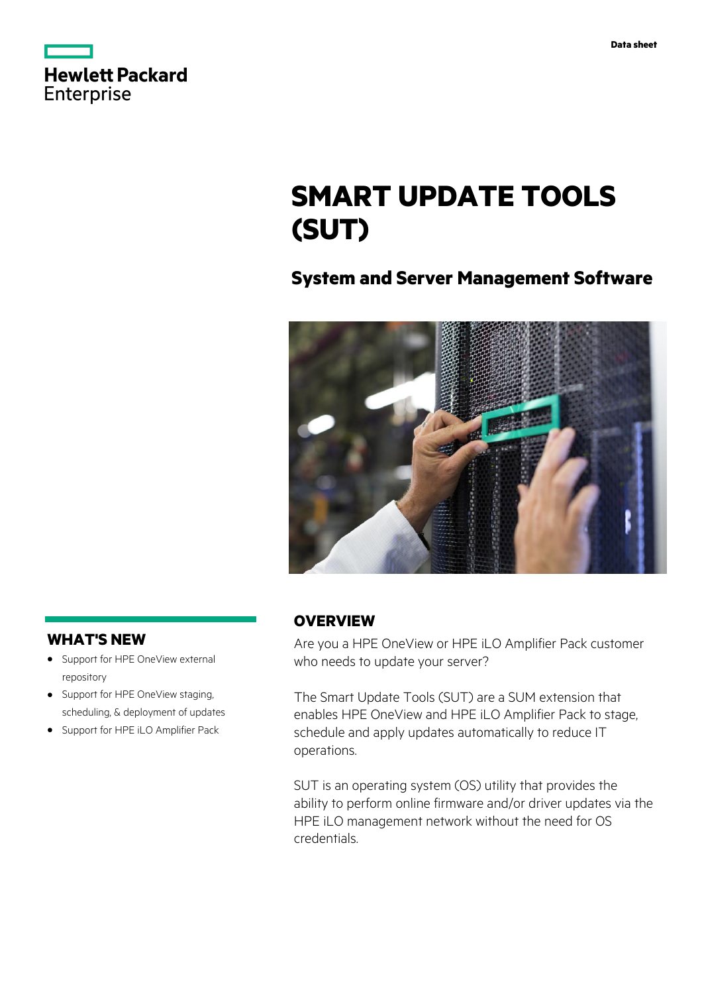| <b>Hewlett Packard</b> |  |
|------------------------|--|
| Enterprise             |  |

# **SMART UPDATE TOOLS (SUT)**

# **System and Server Management Software**



# **WHAT'S NEW**

- **·** Support for HPE OneView external repository
- **·** Support for HPE OneView staging, scheduling, & deployment of updates
- **·** Support for HPE iLO Amplifier Pack

# **OVERVIEW**

Are you a HPE OneView or HPE iLO Amplifier Pack customer who needs to update your server?

The Smart Update Tools (SUT) are a SUM extension that enables HPE OneView and HPE iLO Amplifier Pack to stage, schedule and apply updates automatically to reduce IT operations.

SUT is an operating system (OS) utility that provides the ability to perform online firmware and/or driver updates via the HPE iLO management network without the need for OS credentials.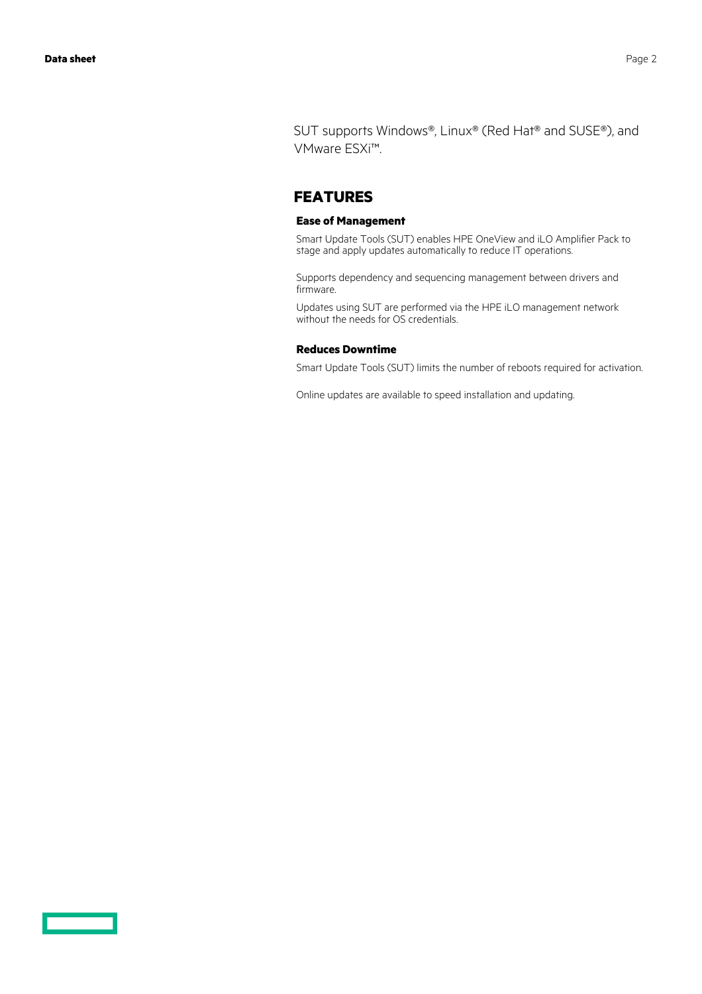SUT supports Windows®, Linux® (Red Hat® and SUSE®), and VMware ESXi™.

### **FEATURES**

#### **Ease of Management**

Smart Update Tools (SUT) enables HPE OneView and iLO Amplifier Pack to stage and apply updates automatically to reduce IT operations.

Supports dependency and sequencing management between drivers and firmware.

Updates using SUT are performed via the HPE iLO management network without the needs for OS credentials.

#### **Reduces Downtime**

Smart Update Tools (SUT) limits the number of reboots required for activation.

Online updates are available to speed installation and updating.